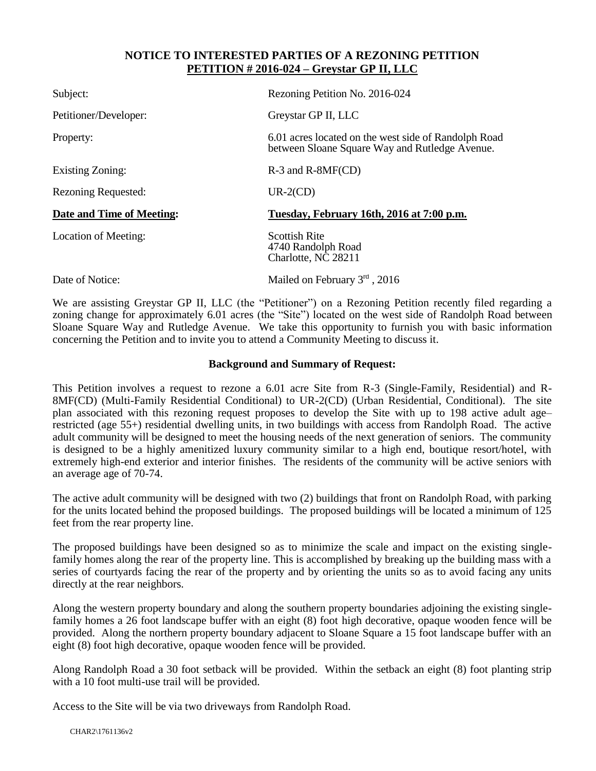## **NOTICE TO INTERESTED PARTIES OF A REZONING PETITION PETITION # 2016-024 – Greystar GP II, LLC**

| Subject:                  | Rezoning Petition No. 2016-024                                                                         |
|---------------------------|--------------------------------------------------------------------------------------------------------|
| Petitioner/Developer:     | Greystar GP II, LLC                                                                                    |
| Property:                 | 6.01 acres located on the west side of Randolph Road<br>between Sloane Square Way and Rutledge Avenue. |
| Existing Zoning:          | $R-3$ and $R-8MF(CD)$                                                                                  |
| Rezoning Requested:       | $UR-2(CD)$                                                                                             |
| Date and Time of Meeting: | Tuesday, February 16th, 2016 at 7:00 p.m.                                                              |
| Location of Meeting:      | <b>Scottish Rite</b><br>4740 Randolph Road<br>Charlotte, NC 28211                                      |
| Date of Notice:           | Mailed on February 3rd, 2016                                                                           |

We are assisting Greystar GP II, LLC (the "Petitioner") on a Rezoning Petition recently filed regarding a zoning change for approximately 6.01 acres (the "Site") located on the west side of Randolph Road between Sloane Square Way and Rutledge Avenue. We take this opportunity to furnish you with basic information concerning the Petition and to invite you to attend a Community Meeting to discuss it.

## **Background and Summary of Request:**

This Petition involves a request to rezone a 6.01 acre Site from R-3 (Single-Family, Residential) and R-8MF(CD) (Multi-Family Residential Conditional) to UR-2(CD) (Urban Residential, Conditional). The site plan associated with this rezoning request proposes to develop the Site with up to 198 active adult age– restricted (age 55+) residential dwelling units, in two buildings with access from Randolph Road. The active adult community will be designed to meet the housing needs of the next generation of seniors. The community is designed to be a highly amenitized luxury community similar to a high end, boutique resort/hotel, with extremely high-end exterior and interior finishes. The residents of the community will be active seniors with an average age of 70-74.

The active adult community will be designed with two (2) buildings that front on Randolph Road, with parking for the units located behind the proposed buildings. The proposed buildings will be located a minimum of 125 feet from the rear property line.

The proposed buildings have been designed so as to minimize the scale and impact on the existing singlefamily homes along the rear of the property line. This is accomplished by breaking up the building mass with a series of courtyards facing the rear of the property and by orienting the units so as to avoid facing any units directly at the rear neighbors.

Along the western property boundary and along the southern property boundaries adjoining the existing singlefamily homes a 26 foot landscape buffer with an eight (8) foot high decorative, opaque wooden fence will be provided. Along the northern property boundary adjacent to Sloane Square a 15 foot landscape buffer with an eight (8) foot high decorative, opaque wooden fence will be provided.

Along Randolph Road a 30 foot setback will be provided. Within the setback an eight (8) foot planting strip with a 10 foot multi-use trail will be provided.

Access to the Site will be via two driveways from Randolph Road.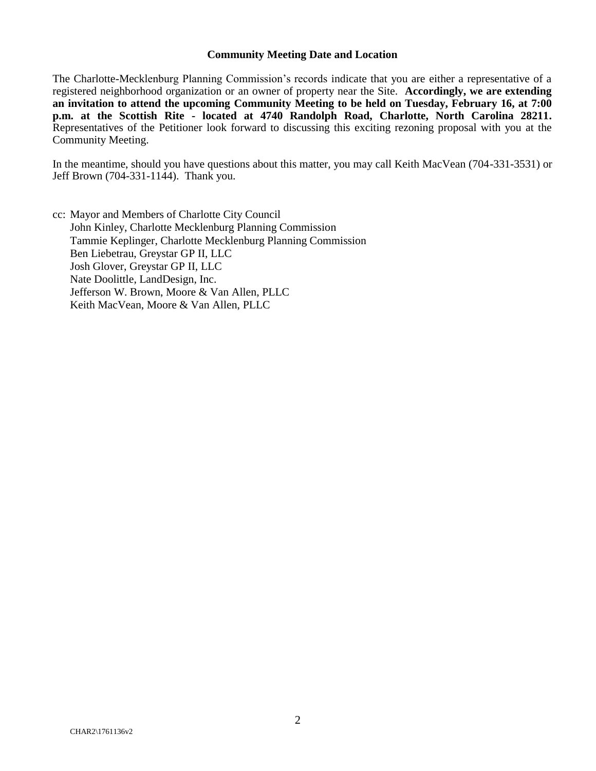## **Community Meeting Date and Location**

The Charlotte-Mecklenburg Planning Commission's records indicate that you are either a representative of a registered neighborhood organization or an owner of property near the Site. **Accordingly, we are extending an invitation to attend the upcoming Community Meeting to be held on Tuesday, February 16, at 7:00 p.m. at the Scottish Rite - located at 4740 Randolph Road, Charlotte, North Carolina 28211.**  Representatives of the Petitioner look forward to discussing this exciting rezoning proposal with you at the Community Meeting.

In the meantime, should you have questions about this matter, you may call Keith MacVean (704-331-3531) or Jeff Brown (704-331-1144). Thank you.

cc: Mayor and Members of Charlotte City Council John Kinley, Charlotte Mecklenburg Planning Commission Tammie Keplinger, Charlotte Mecklenburg Planning Commission Ben Liebetrau, Greystar GP II, LLC Josh Glover, Greystar GP II, LLC Nate Doolittle, LandDesign, Inc. Jefferson W. Brown, Moore & Van Allen, PLLC Keith MacVean, Moore & Van Allen, PLLC